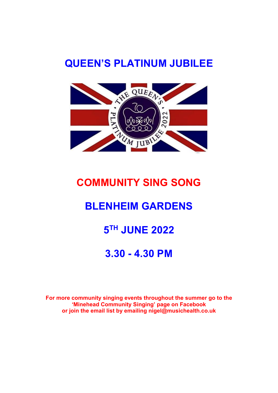# **QUEEN'S PLATINUM JUBILEE**



# **COMMUNITY SING SONG**

# **BLENHEIM GARDENS**

# **5 TH JUNE 2022**

## **3.30 - 4.30 PM**

**For more community singing events throughout the summer go to the 'Minehead Community Singing' page on Facebook or join the email list by emailing nigel@musichealth.co.uk**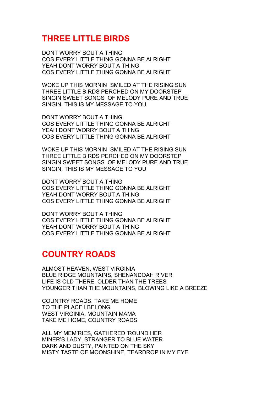### **THREE LITTLE BIRDS**

DONT WORRY BOUT A THING COS EVERY LITTLE THING GONNA BE ALRIGHT YEAH DONT WORRY BOUT A THING COS EVERY LITTLE THING GONNA BE ALRIGHT

WOKE UP THIS MORNIN SMILED AT THE RISING SUN THREE LITTLE BIRDS PERCHED ON MY DOORSTEP SINGIN SWEET SONGS OF MELODY PURE AND TRUE SINGIN, THIS IS MY MESSAGE TO YOU

DONT WORRY BOUT A THING COS EVERY LITTLE THING GONNA BE ALRIGHT YEAH DONT WORRY BOUT A THING COS EVERY LITTLE THING GONNA BE ALRIGHT

WOKE UP THIS MORNIN SMILED AT THE RISING SUN THREE LITTLE BIRDS PERCHED ON MY DOORSTEP SINGIN SWEET SONGS OF MELODY PURE AND TRUE SINGIN, THIS IS MY MESSAGE TO YOU

DONT WORRY BOUT A THING COS EVERY LITTLE THING GONNA BE ALRIGHT YEAH DONT WORRY BOUT A THING COS EVERY LITTLE THING GONNA BE ALRIGHT

DONT WORRY BOUT A THING COS EVERY LITTLE THING GONNA BE ALRIGHT YEAH DONT WORRY BOUT A THING COS EVERY LITTLE THING GONNA BE ALRIGHT

### **COUNTRY ROADS**

ALMOST HEAVEN, WEST VIRGINIA BLUE RIDGE MOUNTAINS, SHENANDOAH RIVER LIFE IS OLD THERE, OLDER THAN THE TREES YOUNGER THAN THE MOUNTAINS, BLOWING LIKE A BREEZE

COUNTRY ROADS, TAKE ME HOME TO THE PLACE I BELONG WEST VIRGINIA, MOUNTAIN MAMA TAKE ME HOME, COUNTRY ROADS

ALL MY MEM'RIES, GATHERED 'ROUND HER MINER'S LADY, STRANGER TO BLUE WATER DARK AND DUSTY, PAINTED ON THE SKY MISTY TASTE OF MOONSHINE, TEARDROP IN MY EYE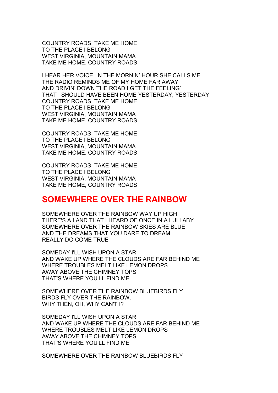COUNTRY ROADS, TAKE ME HOME TO THE PLACE I BELONG WEST VIRGINIA, MOUNTAIN MAMA TAKE ME HOME, COUNTRY ROADS

I HEAR HER VOICE, IN THE MORNIN' HOUR SHE CALLS ME THE RADIO REMINDS ME OF MY HOME FAR AWAY AND DRIVIN' DOWN THE ROAD I GET THE FEELING' THAT I SHOULD HAVE BEEN HOME YESTERDAY, YESTERDAY COUNTRY ROADS, TAKE ME HOME TO THE PLACE I BELONG WEST VIRGINIA, MOUNTAIN MAMA TAKE ME HOME, COUNTRY ROADS

COUNTRY ROADS, TAKE ME HOME TO THE PLACE I BELONG WEST VIRGINIA, MOUNTAIN MAMA TAKE ME HOME, COUNTRY ROADS

COUNTRY ROADS, TAKE ME HOME TO THE PLACE I BELONG WEST VIRGINIA, MOUNTAIN MAMA TAKE ME HOME, COUNTRY ROADS

#### **SOMEWHERE OVER THE RAINBOW**

SOMEWHERE OVER THE RAINBOW WAY UP HIGH THERE'S A LAND THAT I HEARD OF ONCE IN A LULLABY SOMEWHERE OVER THE RAINBOW SKIES ARE BLUE AND THE DREAMS THAT YOU DARE TO DREAM REALLY DO COME TRUE

SOMEDAY I'LL WISH UPON A STAR AND WAKE UP WHERE THE CLOUDS ARE FAR BEHIND ME WHERE TROUBLES MELT LIKE LEMON DROPS AWAY ABOVE THE CHIMNEY TOPS THAT'S WHERE YOU'LL FIND ME

SOMEWHERE OVER THE RAINBOW BLUEBIRDS FLY BIRDS FLY OVER THE RAINBOW. WHY THEN, OH, WHY CAN'T I?

SOMEDAY I'LL WISH UPON A STAR AND WAKE UP WHERE THE CLOUDS ARE FAR BEHIND ME WHERE TROUBLES MELT LIKE LEMON DROPS AWAY ABOVE THE CHIMNEY TOPS THAT'S WHERE YOU'LL FIND ME

SOMEWHERE OVER THE RAINBOW BLUEBIRDS FLY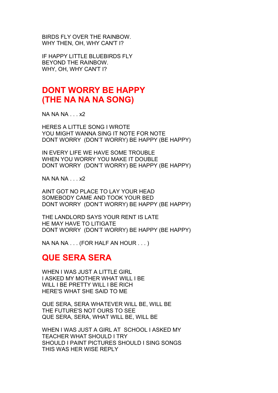BIRDS FLY OVER THE RAINBOW. WHY THEN, OH, WHY CAN'T I?

IF HAPPY LITTLE BLUEBIRDS FLY BEYOND THE RAINBOW. WHY, OH, WHY CAN'T I?

## **DONT WORRY BE HAPPY (THE NA NA NA SONG)**

NA NA NA . . . x2

HERES A LITTLE SONG IWROTE YOU MIGHT WANNA SING IT NOTE FOR NOTE DONT WORRY (DON'T WORRY) BE HAPPY (BE HAPPY)

IN EVERY LIFE WE HAVE SOME TROUBLE WHEN YOU WORRY YOU MAKE IT DOUBLE DONT WORRY (DON'T WORRY) BE HAPPY (BE HAPPY)

NA NA NA . . . x2

AINT GOT NO PLACE TO LAY YOUR HEAD SOMEBODY CAME AND TOOK YOUR BED DONT WORRY (DON'T WORRY) BE HAPPY (BE HAPPY)

THE LANDLORD SAYS YOUR RENT IS LATE HE MAY HAVE TO LITIGATE DONT WORRY (DON'T WORRY) BE HAPPY (BE HAPPY)

NA NA NA . . . (FOR HALF AN HOUR . . . )

#### **QUE SERA SERA**

WHEN I WAS JUST A LITTLE GIRL I ASKED MY MOTHER WHAT WILL I BE WILL I BE PRETTY WILL I BE RICH HERE'S WHAT SHE SAID TO ME

QUE SERA, SERA WHATEVER WILL BE, WILL BE THE FUTURE'S NOT OURS TO SEE QUE SERA, SERA, WHAT WILL BE, WILL BE

WHEN I WAS JUST A GIRL AT SCHOOL I ASKED MY TEACHER WHAT SHOULD I TRY SHOULD I PAINT PICTURES SHOULD I SING SONGS THIS WAS HER WISE REPLY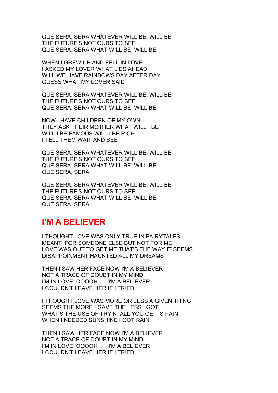QUE SERA, SERA WHATEVER WILL BE, WILL BE THE FUTURE'S NOT OURS TO SEE QUE SERA, SERA WHAT WILL BE, WILL BE

WHEN I GREW UP AND FELL IN LOVE I ASKED MY LOVER WHAT LIES AHEAD WILL WE HAVE RAINBOWS DAY AFTER DAY GUESS WHAT MY LOVER SAID

QUE SERA, SERA WHATEVER WILL BE, WILL BE THE FUTURE'S NOT OURS TO SEE QUE SERA, SERA WHAT WILL BE, WILL BE

NOW I HAVE CHILDREN OF MY OWN THEY ASK THEIR MOTHER WHAT WILL I BE WILL I BE FAMOUS WILL I BE RICH I TELL THEM WAIT AND SEE

QUE SERA, SERA WHATEVER WILL BE, WILL BE THE FUTURE'S NOT OURS TO SEE QUE SERA, SERA WHAT WILL BE, WILL BE QUE SERA, SERA

QUE SERA, SERA WHATEVER WILL BE, WILL BE THE FUTURE'S NOT OURS TO SEE QUE SERA, SERA WHAT WILL BE, WILL BE QUE SERA, SERA

#### **I'M A BELIEVER**

I THOUGHT LOVE WAS ONLY TRUE IN FAIRYTALES MEANT FOR SOMEONE ELSE BUT NOT FOR ME LOVE WAS OUT TO GET ME THAT'S THE WAY IT SEEMS DISAPPOINMENT HAUNTED ALL MY DREAMS

THEN I SAW HER FACE NOW I'M A BELIEVER NOT A TRACE OF DOUBT IN MY MIND I'M IN LOVE OOOOH . . . I'M A BELIEVER I COULDN'T LEAVE HER IF I TRIED

I THOUGHT LOVE WAS MORE OR LESS A GIVEN THING SEEMS THE MORE I GAVE THE LESS I GOT WHAT'S THE USE OF TRYIN ALL YOU GET IS PAIN WHEN I NEEDED SUNSHINE I GOT RAIN

THEN I SAW HER FACE NOW I'M A BELIEVER NOT A TRACE OF DOUBT IN MY MIND I'M IN LOVE OOOOH . . . I'M A BELIEVER I COULDN'T LEAVE HER IF I TRIED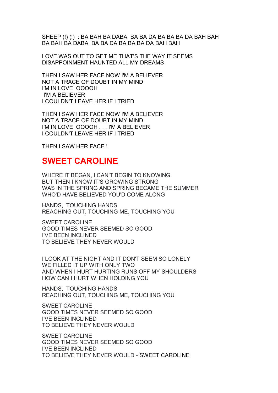SHEEP (!) (!) : BA BAH BA DABA BA BA DA BA BA BA DA BAH BAH BA BAH BA DABA BA BA DA BA BA BA DA BAH BAH

LOVE WAS OUT TO GET ME THAT'S THE WAY IT SEEMS DISAPPOINMENT HAUNTED ALL MY DREAMS

THEN I SAW HER FACE NOW I'M A BELIEVER NOT A TRACE OF DOUBT IN MY MIND I'M IN LOVE OOOOH I'M A BELIEVER I COULDN'T LEAVE HER IF I TRIED

THEN I SAW HER FACE NOW I'M A BELIEVER NOT A TRACE OF DOUBT IN MY MIND I'M IN LOVE OOOOH . . . I'M A BELIEVER I COULDN'T LEAVE HER IF I TRIED

THEN I SAW HER FACE !

#### **SWEET CAROLINE**

WHERE IT BEGAN, I CAN'T BEGIN TO KNOWING BUT THEN I KNOW IT'S GROWING STRONG WAS IN THE SPRING AND SPRING BECAME THE SUMMER WHO'D HAVE BELIEVED YOU'D COME ALONG

HANDS, TOUCHING HANDS REACHING OUT, TOUCHING ME, TOUCHING YOU

SWEET CAROLINE GOOD TIMES NEVER SEEMED SO GOOD I'VE BEEN INCLINED TO BELIEVE THEY NEVER WOULD

I LOOK AT THE NIGHT AND IT DON'T SEEM SO LONELY WE FILLED IT UP WITH ONLY TWO AND WHEN I HURT HURTING RUNS OFF MY SHOULDERS HOW CAN I HURT WHEN HOLDING YOU

HANDS, TOUCHING HANDS REACHING OUT, TOUCHING ME, TOUCHING YOU

SWEET CAROLINE GOOD TIMES NEVER SEEMED SO GOOD I'VE BEEN INCLINED TO BELIEVE THEY NEVER WOULD

SWEET CAROLINE GOOD TIMES NEVER SEEMED SO GOOD I'VE BEEN INCLINED TO BELIEVE THEY NEVER WOULD - SWEET CAROLINE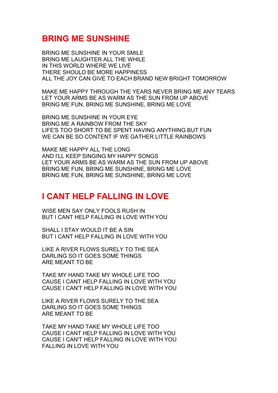#### **BRING ME SUNSHINE**

BRING ME SUNSHINE IN YOUR SMILE BRING ME LAUGHTER ALL THE WHILE IN THIS WORLD WHERE WE LIVE THERE SHOULD BE MORE HAPPINESS ALL THE JOY CAN GIVE TO EACH BRAND NEW BRIGHT TOMORROW

MAKE ME HAPPY THROUGH THE YEARS NEVER BRING ME ANY TEARS LET YOUR ARMS BE AS WARM AS THE SUN FROM UP ABOVE BRING ME FUN, BRING ME SUNSHINE, BRING ME LOVE

BRING ME SUNSHINE IN YOUR EYE BRING ME A RAINBOW FROM THE SKY LIFE'S TOO SHORT TO BE SPENT HAVING ANYTHING BUT FUN WE CAN BE SO CONTENT IF WE GATHER LITTLE RAINBOWS

MAKE ME HAPPY ALL THE LONG AND I'LL KEEP SINGING MY HAPPY SONGS LET YOUR ARMS BE AS WARM AS THE SUN FROM UP ABOVE BRING ME FUN, BRING ME SUNSHINE, BRING ME LOVE BRING ME FUN, BRING ME SUNSHINE, BRING ME LOVE

#### **I CANT HELP FALLING IN LOVE**

WISE MEN SAY ONLY FOOLS RUSH IN BUT I CANT HELP FALLING IN LOVE WITH YOU

SHALL I STAY WOULD IT BE A SIN BUT I CANT HELP FALLING IN LOVE WITH YOU

LIKE A RIVER FLOWS SURELY TO THE SEA DARLING SO IT GOES SOME THINGS ARE MEANT TO BE

TAKE MY HAND TAKE MY WHOLE LIFE TOO CAUSE I CANT HELP FALLING IN LOVE WITH YOU CAUSE I CAN'T HELP FALLING IN LOVE WITH YOU

LIKE A RIVER FLOWS SURELY TO THE SEA DARLING SO IT GOES SOME THINGS ARE MEANT TO BE

TAKE MY HAND TAKE MY WHOLE LIFE TOO CAUSE I CANT HELP FALLING IN LOVE WITH YOU CAUSE I CAN'T HELP FALLING IN LOVE WITH YOU FALLING IN LOVE WITH YOU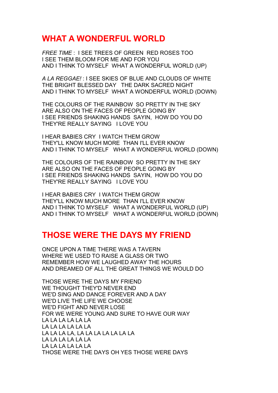### **WHAT A WONDERFUL WORLD**

*FREE TIME* : I SEE TREES OF GREEN RED ROSES TOO I SEE THEM BLOOM FOR ME AND FOR YOU AND I THINK TO MYSELF WHAT A WONDERFUL WORLD (UP)

*A LA REGGAE!* : ISEE SKIES OF BLUE AND CLOUDS OF WHITE THE BRIGHT BLESSED DAY THE DARK SACRED NIGHT AND I THINK TO MYSELF WHAT A WONDERFUL WORLD (DOWN)

THE COLOURS OF THE RAINBOW SO PRETTY IN THE SKY ARE ALSO ON THE FACES OF PEOPLE GOING BY I SEE FRIENDS SHAKING HANDS SAYIN, HOW DO YOU DO THEY'RE REALLY SAYING I LOVE YOU

I HEAR BABIES CRY I WATCH THEM GROW THEY'LL KNOW MUCH MORE THAN I'LL EVER KNOW AND I THINK TO MYSELF WHAT A WONDERFUL WORLD (DOWN)

THE COLOURS OF THE RAINBOW SO PRETTY IN THE SKY ARE ALSO ON THE FACES OF PEOPLE GOING BY I SEE FRIENDS SHAKING HANDS SAYIN, HOW DO YOU DO THEY'RE REALLY SAYING I LOVE YOU

I HEAR BABIES CRY I WATCH THEM GROW THEY'LL KNOW MUCH MORE THAN I'LL EVER KNOW AND I THINK TO MYSELF WHAT A WONDERFUL WORLD (UP) AND I THINK TO MYSELF WHAT A WONDERFUL WORLD (DOWN)

#### **THOSE WERE THE DAYS MY FRIEND**

ONCE UPON A TIME THERE WAS A TAVERN WHERE WE USED TO RAISE A GLASS OR TWO REMEMBER HOW WE LAUGHED AWAY THE HOURS AND DREAMED OF ALL THE GREAT THINGS WE WOULD DO

THOSE WERE THE DAYS MY FRIEND WE THOUGHT THEY'D NEVER END WE'D SING AND DANCE FOREVER AND A DAY WE'D LIVE THE LIFE WE CHOOSE WE'D FIGHT AND NEVER LOSE FOR WE WERE YOUNG AND SURE TO HAVE OUR WAY LA LA LA LA LA LA LA LA LA LA LA LA LA LA LA LA, LA LA LA LA LA LA LA LA LA LA LA LA LA LA LA LA LA LA LA THOSE WERE THE DAYS OH YES THOSE WERE DAYS